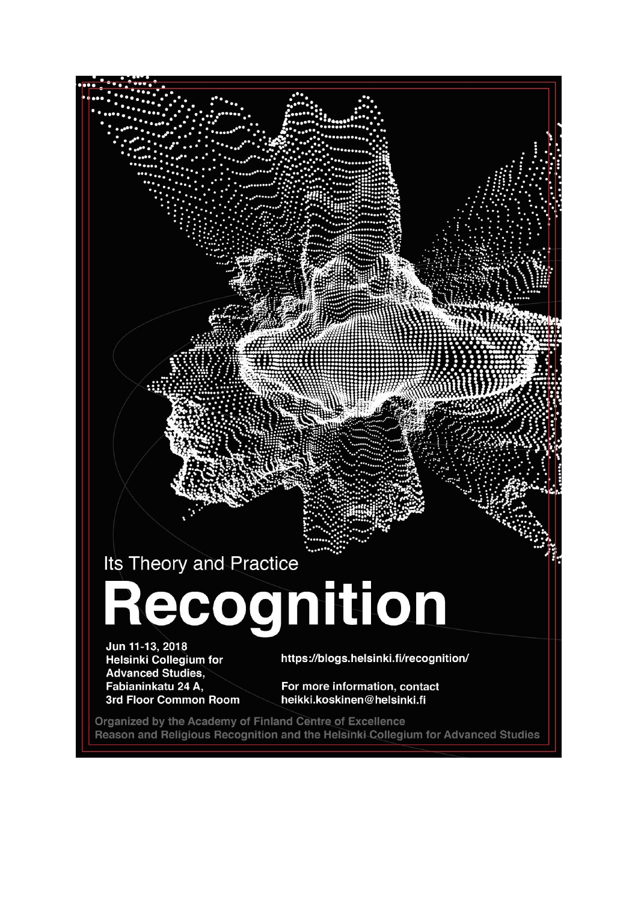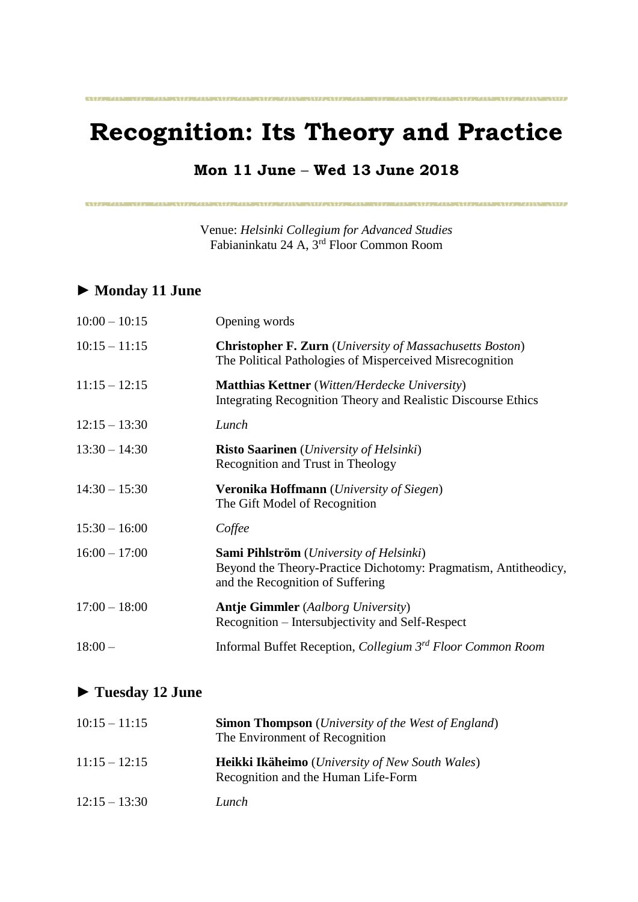# **Recognition: Its Theory and Practice**

**CONTINUES OF PROPERTY AND RESIDENCE OF A STATE OF A STATE OF A STATE OF A STATE OF A STATE OF A STATE OF A ST** 

### **Mon 11 June** – **Wed 13 June 2018**

Venue: *Helsinki Collegium for Advanced Studies* Fabianinkatu 24 A, 3rd Floor Common Room

### **► Monday 11 June**

| $10:00 - 10:15$ | Opening words                                                                                                                                  |
|-----------------|------------------------------------------------------------------------------------------------------------------------------------------------|
| $10:15 - 11:15$ | <b>Christopher F. Zurn</b> ( <i>University of Massachusetts Boston</i> )<br>The Political Pathologies of Misperceived Misrecognition           |
| $11:15 - 12:15$ | <b>Matthias Kettner</b> (Witten/Herdecke University)<br>Integrating Recognition Theory and Realistic Discourse Ethics                          |
| $12:15 - 13:30$ | Lunch                                                                                                                                          |
| $13:30 - 14:30$ | <b>Risto Saarinen</b> ( <i>University of Helsinki</i> )<br>Recognition and Trust in Theology                                                   |
| $14:30 - 15:30$ | <b>Veronika Hoffmann</b> ( <i>University of Siegen</i> )<br>The Gift Model of Recognition                                                      |
| $15:30 - 16:00$ | Coffee                                                                                                                                         |
| $16:00 - 17:00$ | Sami Pihlström (University of Helsinki)<br>Beyond the Theory-Practice Dichotomy: Pragmatism, Antitheodicy,<br>and the Recognition of Suffering |
| $17:00 - 18:00$ | <b>Antje Gimmler</b> (Aalborg University)<br>Recognition – Intersubjectivity and Self-Respect                                                  |
| $18:00-$        | Informal Buffet Reception, Collegium 3 <sup>rd</sup> Floor Common Room                                                                         |

## **► Tuesday 12 June**

| $10:15 - 11:15$ | <b>Simon Thompson</b> ( <i>University of the West of England</i> )<br>The Environment of Recognition |
|-----------------|------------------------------------------------------------------------------------------------------|
| $11:15 - 12:15$ | Heikki Ikäheimo (University of New South Wales)<br>Recognition and the Human Life-Form               |
| $12:15 - 13:30$ | Lunch                                                                                                |